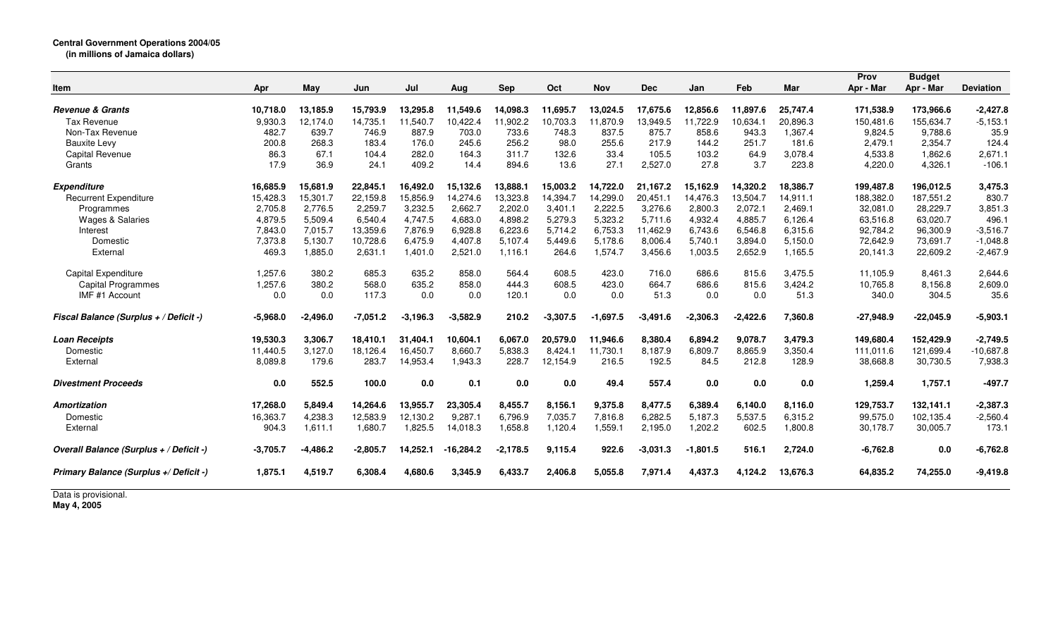| <b>Item</b>                             | Apr        | May        | Jun        | Jul        | Aug         | <b>Sep</b> | Oct        | <b>Nov</b> | <b>Dec</b> | Jan        | Feb        | Mar      | Prov<br>Apr - Mar | <b>Budget</b><br>Apr - Mar | <b>Deviation</b> |
|-----------------------------------------|------------|------------|------------|------------|-------------|------------|------------|------------|------------|------------|------------|----------|-------------------|----------------------------|------------------|
|                                         |            |            |            |            |             |            |            |            |            |            |            |          |                   |                            |                  |
| <b>Revenue &amp; Grants</b>             | 10,718.0   | 13,185.9   | 15,793.9   | 13,295.8   | 11,549.6    | 14,098.3   | 11,695.7   | 13,024.5   | 17,675.6   | 12,856.6   | 11,897.6   | 25,747.4 | 171,538.9         | 173,966.6                  | $-2,427.8$       |
| <b>Tax Revenue</b>                      | 9,930.3    | 12,174.0   | 14,735.1   | 11,540.7   | 10,422.4    | 11,902.2   | 10,703.3   | 11,870.9   | 13,949.5   | 11,722.9   | 10.634.1   | 20,896.3 | 150,481.6         | 155,634.7                  | $-5,153.1$       |
| Non-Tax Revenue                         | 482.7      | 639.7      | 746.9      | 887.9      | 703.0       | 733.6      | 748.3      | 837.5      | 875.7      | 858.6      | 943.3      | 1,367.4  | 9,824.5           | 9,788.6                    | 35.9             |
| <b>Bauxite Levy</b>                     | 200.8      | 268.3      | 183.4      | 176.0      | 245.6       | 256.2      | 98.0       | 255.6      | 217.9      | 144.2      | 251.7      | 181.6    | 2,479.1           | 2,354.7                    | 124.4            |
| <b>Capital Revenue</b>                  | 86.3       | 67.1       | 104.4      | 282.0      | 164.3       | 311.7      | 132.6      | 33.4       | 105.5      | 103.2      | 64.9       | 3,078.4  | 4,533.8           | 1,862.6                    | 2,671.1          |
| Grants                                  | 17.9       | 36.9       | 24.1       | 409.2      | 14.4        | 894.6      | 13.6       | 27.1       | 2,527.0    | 27.8       | 3.7        | 223.8    | 4,220.0           | 4,326.1                    | $-106.1$         |
| <b>Expenditure</b>                      | 16,685.9   | 15.681.9   | 22,845.1   | 16,492.0   | 15,132.6    | 13,888.1   | 15,003.2   | 14.722.0   | 21,167.2   | 15,162.9   | 14,320.2   | 18,386.7 | 199,487.8         | 196,012.5                  | 3,475.3          |
| <b>Recurrent Expenditure</b>            | 15,428.3   | 15,301.7   | 22,159.8   | 15,856.9   | 14,274.6    | 13,323.8   | 14,394.7   | 14,299.0   | 20,451.1   | 14,476.3   | 13,504.7   | 14,911.1 | 188,382.0         | 187,551.2                  | 830.7            |
| Programmes                              | 2,705.8    | 2,776.5    | 2,259.7    | 3,232.5    | 2,662.7     | 2,202.0    | 3,401.1    | 2,222.5    | 3,276.6    | 2,800.3    | 2,072.1    | 2,469.1  | 32,081.0          | 28,229.7                   | 3,851.3          |
| <b>Wages &amp; Salaries</b>             | 4,879.5    | 5,509.4    | 6,540.4    | 4,747.5    | 4,683.0     | 4,898.2    | 5,279.3    | 5,323.2    | 5,711.6    | 4,932.4    | 4,885.7    | 6,126.4  | 63,516.8          | 63,020.7                   | 496.1            |
| Interest                                | 7,843.0    | 7,015.7    | 13,359.6   | 7,876.9    | 6,928.8     | 6,223.6    | 5,714.2    | 6,753.3    | 11,462.9   | 6,743.6    | 6,546.8    | 6,315.6  | 92,784.2          | 96,300.9                   | $-3,516.7$       |
| Domestic                                | 7,373.8    | 5,130.7    | 10,728.6   | 6,475.9    | 4,407.8     | 5,107.4    | 5,449.6    | 5,178.6    | 8,006.4    | 5,740.1    | 3,894.0    | 5,150.0  | 72,642.9          | 73,691.7                   | $-1,048.8$       |
| External                                | 469.3      | 1,885.0    | 2,631.1    | 1,401.0    | 2,521.0     | 1,116.1    | 264.6      | 1,574.7    | 3,456.6    | 1,003.5    | 2,652.9    | 1,165.5  | 20,141.3          | 22,609.2                   | $-2,467.9$       |
| Capital Expenditure                     | 1,257.6    | 380.2      | 685.3      | 635.2      | 858.0       | 564.4      | 608.5      | 423.0      | 716.0      | 686.6      | 815.6      | 3,475.5  | 11,105.9          | 8,461.3                    | 2,644.6          |
| <b>Capital Programmes</b>               | 1,257.6    | 380.2      | 568.0      | 635.2      | 858.0       | 444.3      | 608.5      | 423.0      | 664.7      | 686.6      | 815.6      | 3,424.2  | 10,765.8          | 8.156.8                    | 2,609.0          |
| IMF #1 Account                          | 0.0        | 0.0        | 117.3      | 0.0        | 0.0         | 120.1      | 0.0        | 0.0        | 51.3       | 0.0        | 0.0        | 51.3     | 340.0             | 304.5                      | 35.6             |
| Fiscal Balance (Surplus + / Deficit -)  | $-5.968.0$ | $-2,496.0$ | $-7,051.2$ | $-3,196.3$ | $-3,582.9$  | 210.2      | $-3,307.5$ | $-1,697.5$ | $-3,491.6$ | $-2,306.3$ | $-2,422.6$ | 7,360.8  | $-27,948.9$       | $-22,045.9$                | $-5,903.1$       |
| <b>Loan Receipts</b>                    | 19,530.3   | 3,306.7    | 18,410.1   | 31,404.1   | 10,604.1    | 6,067.0    | 20,579.0   | 11,946.6   | 8,380.4    | 6,894.2    | 9,078.7    | 3,479.3  | 149,680.4         | 152,429.9                  | $-2,749.5$       |
| Domestic                                | 11,440.5   | 3,127.0    | 18,126.4   | 16,450.7   | 8,660.7     | 5,838.3    | 8,424.1    | 11,730.1   | 8,187.9    | 6,809.7    | 8.865.9    | 3,350.4  | 111,011.6         | 121,699.4                  | $-10,687.8$      |
| External                                | 8,089.8    | 179.6      | 283.7      | 14,953.4   | 1,943.3     | 228.7      | 12,154.9   | 216.5      | 192.5      | 84.5       | 212.8      | 128.9    | 38,668.8          | 30,730.5                   | 7,938.3          |
| <b>Divestment Proceeds</b>              | 0.0        | 552.5      | 100.0      | 0.0        | 0.1         | 0.0        | $0.0\,$    | 49.4       | 557.4      | 0.0        | 0.0        | 0.0      | 1,259.4           | 1,757.1                    | $-497.7$         |
| Amortization                            | 17,268.0   | 5,849.4    | 14,264.6   | 13,955.7   | 23,305.4    | 8,455.7    | 8,156.1    | 9,375.8    | 8,477.5    | 6,389.4    | 6.140.0    | 8,116.0  | 129,753.7         | 132,141.1                  | $-2,387.3$       |
| Domestic                                | 16,363.7   | 4,238.3    | 12,583.9   | 12,130.2   | 9,287.1     | 6,796.9    | 7,035.7    | 7,816.8    | 6,282.5    | 5,187.3    | 5,537.5    | 6,315.2  | 99,575.0          | 102,135.4                  | $-2,560.4$       |
| External                                | 904.3      | 1,611.1    | 1,680.7    | 1,825.5    | 14,018.3    | 1,658.8    | 1,120.4    | 1,559.1    | 2,195.0    | 1,202.2    | 602.5      | 1,800.8  | 30,178.7          | 30,005.7                   | 173.1            |
| Overall Balance (Surplus + / Deficit -) | $-3,705.7$ | $-4,486.2$ | $-2,805.7$ | 14,252.1   | $-16,284.2$ | $-2,178.5$ | 9,115.4    | 922.6      | $-3,031.3$ | $-1,801.5$ | 516.1      | 2,724.0  | $-6,762.8$        | 0.0                        | $-6,762.8$       |
| Primary Balance (Surplus +/ Deficit -)  | 1,875.1    | 4,519.7    | 6,308.4    | 4,680.6    | 3,345.9     | 6,433.7    | 2,406.8    | 5,055.8    | 7,971.4    | 4,437.3    | 4,124.2    | 13,676.3 | 64,835.2          | 74,255.0                   | $-9,419.8$       |
| $\overline{\phantom{a}}$                |            |            |            |            |             |            |            |            |            |            |            |          |                   |                            |                  |

Data is provisional. **May 4, 2005**